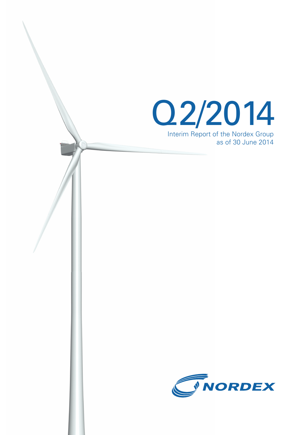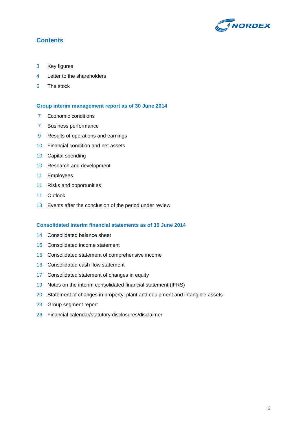

# **Contents**

- Key figures
- Letter to the shareholders
- The stock

#### **Group interim management report as of 30 June 2014**

- 7 Economic conditions
- Business performance
- Results of operations and earnings
- Financial condition and net assets
- Capital spending
- Research and development
- Employees
- Risks and opportunities
- Outlook
- Events after the conclusion of the period under review

#### **Consolidated interim financial statements as of 30 June 2014**

- Consolidated balance sheet
- Consolidated income statement
- Consolidated statement of comprehensive income
- Consolidated cash flow statement
- Consolidated statement of changes in equity
- Notes on the interim consolidated financial statement (IFRS)
- 20 Statement of changes in property, plant and equipment and intangible assets
- Group segment report
- Financial calendar/statutory disclosures/disclaimer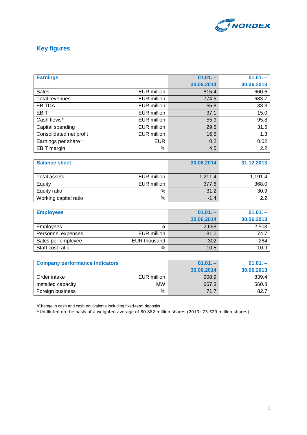

# **Key figures**

| <b>Earnings</b>         |                    | $01.01. -$ | $01.01. -$ |
|-------------------------|--------------------|------------|------------|
|                         |                    | 30.06.2014 | 30.06.2013 |
| <b>Sales</b>            | <b>EUR</b> million | 815.4      | 660.6      |
| Total revenues          | EUR million        | 774.5      | 683.7      |
| <b>EBITDA</b>           | EUR million        | 55.8       | 33.3       |
| <b>EBIT</b>             | EUR million        | 37.1       | 15.0       |
| Cash flows*             | EUR million        | 55.9       | $-95.8$    |
| Capital spending        | EUR million        | 29.5       | 31.5       |
| Consolidated net profit | <b>EUR million</b> | 16.5       | 1.3        |
| Earnings per share**    | <b>EUR</b>         | 0.2        | 0.02       |
| EBIT margin             | %                  | 4.5        | 2.2        |

| <b>Balance sheet</b>  |             | 30.06.2014 | 31.12.2013 |
|-----------------------|-------------|------------|------------|
| Total assets          | EUR million | 1,211.4    | 1,191.4    |
| Equity                | EUR million | 377.6      | 368.0      |
| Equity ratio          | %           | 31.2       | 30.9       |
| Working capital ratio | %           | $-1.4$     | 2.2        |

| <b>Employees</b>   |              | $01.01 -$  | $01.01 -$  |
|--------------------|--------------|------------|------------|
|                    |              | 30.06.2014 | 30.06.2013 |
| <b>Employees</b>   | ø            | 2,698      | 2,503      |
| Personnel expenses | EUR million  | 81.0       | 74.7       |
| Sales per employee | EUR thousand | 302        | 264        |
| Staff cost ratio   | %            | 10.5       | 10.9       |

| <b>Company performance indicators</b> |             | $01.01 -$  | $01.01 -$  |
|---------------------------------------|-------------|------------|------------|
|                                       |             | 30.06.2014 | 30.06.2013 |
| Order intake                          | EUR million | 908.9      | 839.4      |
| Installed capacity                    | <b>MW</b>   | 667.3      | 560.8      |
| Foreign business                      | %           | 71.7       | 82.7       |

\*Change in cash and cash equivalents including fixed-term deposits

\*\*Undiluted on the basis of a weighted average of 80.882 million shares (2013: 73.529 million shares)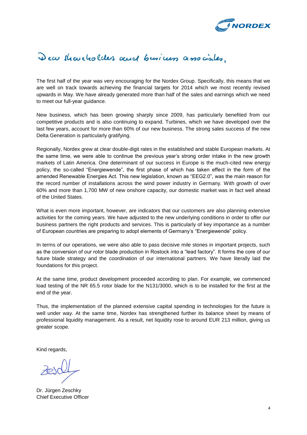

# Dear shareholders and business associates.

The first half of the year was very encouraging for the Nordex Group. Specifically, this means that we are well on track towards achieving the financial targets for 2014 which we most recently revised upwards in May. We have already generated more than half of the sales and earnings which we need to meet our full-year guidance.

New business, which has been growing sharply since 2009, has particularly benefited from our competitive products and is also continuing to expand. Turbines, which we have developed over the last few years, account for more than 60% of our new business. The strong sales success of the new Delta Generation is particularly gratifying.

Regionally, Nordex grew at clear double-digit rates in the established and stable European markets. At the same time, we were able to continue the previous year's strong order intake in the new growth markets of Latin America. One determinant of our success in Europe is the much-cited new energy policy, the so-called "Energiewende", the first phase of which has taken effect in the form of the amended Renewable Energies Act. This new legislation, known as "EEG2.0", was the main reason for the record number of installations across the wind power industry in Germany. With growth of over 60% and more than 1,700 MW of new onshore capacity, our domestic market was in fact well ahead of the United States.

What is even more important, however, are indicators that our customers are also planning extensive activities for the coming years. We have adjusted to the new underlying conditions in order to offer our business partners the right products and services. This is particularly of key importance as a number of European countries are preparing to adopt elements of Germany's "Energiewende" policy.

In terms of our operations, we were also able to pass decisive mile stones in important projects, such as the conversion of our rotor blade production in Rostock into a "lead factory". It forms the core of our future blade strategy and the coordination of our international partners. We have literally laid the foundations for this project.

At the same time, product development proceeded according to plan. For example, we commenced load testing of the NR 65.5 rotor blade for the N131/3000, which is to be installed for the first at the end of the year.

Thus, the implementation of the planned extensive capital spending in technologies for the future is well under way. At the same time, Nordex has strengthened further its balance sheet by means of professional liquidity management. As a result, net liquidity rose to around EUR 213 million, giving us greater scope.

Kind regards,

Dr. Jürgen Zeschky Chief Executive Officer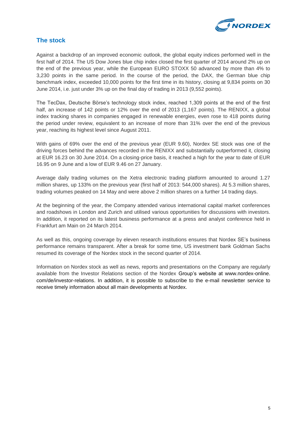

# **The stock**

Against a backdrop of an improved economic outlook, the global equity indices performed well in the first half of 2014. The US Dow Jones blue chip index closed the first quarter of 2014 around 2% up on the end of the previous year, while the European EURO STOXX 50 advanced by more than 4% to 3,230 points in the same period. In the course of the period, the DAX, the German blue chip benchmark index, exceeded 10,000 points for the first time in its history, closing at 9,834 points on 30 June 2014, i.e. just under 3% up on the final day of trading in 2013 (9,552 points).

The TecDax, Deutsche Börse's technology stock index, reached 1,309 points at the end of the first half, an increase of 142 points or 12% over the end of 2013 (1,167 points). The RENIXX, a global index tracking shares in companies engaged in renewable energies, even rose to 418 points during the period under review, equivalent to an increase of more than 31% over the end of the previous year, reaching its highest level since August 2011.

With gains of 69% over the end of the previous year (EUR 9.60), Nordex SE stock was one of the driving forces behind the advances recorded in the RENIXX and substantially outperformed it, closing at EUR 16.23 on 30 June 2014. On a closing-price basis, it reached a high for the year to date of EUR 16.95 on 9 June and a low of EUR 9.46 on 27 January.

Average daily trading volumes on the Xetra electronic trading platform amounted to around 1.27 million shares, up 133% on the previous year (first half of 2013: 544,000 shares). At 5.3 million shares, trading volumes peaked on 14 May and were above 2 million shares on a further 14 trading days.

At the beginning of the year, the Company attended various international capital market conferences and roadshows in London and Zurich and utilised various opportunities for discussions with investors. In addition, it reported on its latest business performance at a press and analyst conference held in Frankfurt am Main on 24 March 2014.

As well as this, ongoing coverage by eleven research institutions ensures that Nordex SE's business performance remains transparent. After a break for some time, US investment bank Goldman Sachs resumed its coverage of the Nordex stock in the second quarter of 2014.

Information on Nordex stock as well as news, reports and presentations on the Company are regularly available from the Investor Relations section of the Nordex Group's website at [www.nordex-online.](http://www.nordex-online.com/de/investor-relations) [com/de/investor-relations.](http://www.nordex-online.com/de/investor-relations) In addition, it is possible to subscribe to the e-mail newsletter service to receive timely information about all main developments at Nordex.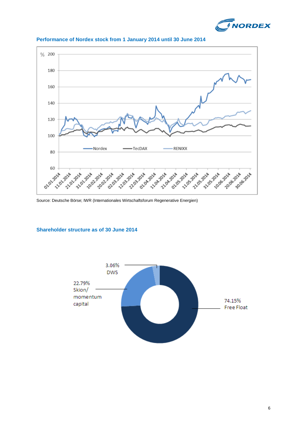



### **Performance of Nordex stock from 1 January 2014 until 30 June 2014**

Source: Deutsche Börse; IWR (Internationales Wirtschaftsforum Regenerative Energien)

### **Shareholder structure as of 30 June 2014**

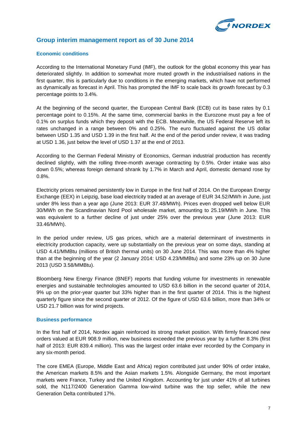

## **Group interim management report as of 30 June 2014**

#### **Economic conditions**

According to the International Monetary Fund (IMF), the outlook for the global economy this year has deteriorated slightly. In addition to somewhat more muted growth in the industrialised nations in the first quarter, this is particularly due to conditions in the emerging markets, which have not performed as dynamically as forecast in April. This has prompted the IMF to scale back its growth forecast by 0.3 percentage points to 3.4%.

At the beginning of the second quarter, the European Central Bank (ECB) cut its base rates by 0.1 percentage point to 0.15%. At the same time, commercial banks in the Eurozone must pay a fee of 0.1% on surplus funds which they deposit with the ECB. Meanwhile, the US Federal Reserve left its rates unchanged in a range between 0% and 0.25%. The euro fluctuated against the US dollar between USD 1.35 and USD 1.39 in the first half. At the end of the period under review, it was trading at USD 1.36, just below the level of USD 1.37 at the end of 2013.

According to the German Federal Ministry of Economics, German industrial production has recently declined slightly, with the rolling three-month average contracting by 0.5%. Order intake was also down 0.5%; whereas foreign demand shrank by 1.7% in March and April, domestic demand rose by 0.8%.

Electricity prices remained persistently low in Europe in the first half of 2014. On the European Energy Exchange (EEX) in Leipzig, base load electricity traded at an average of EUR 34.52/MWh in June, just under 8% less than a year ago (June 2013: EUR 37.48/MWh). Prices even dropped well below EUR 30/MWh on the Scandinavian Nord Pool wholesale market, amounting to 25.19/MWh in June. This was equivalent to a further decline of just under 25% over the previous year (June 2013: EUR 33.46/MWh).

In the period under review, US gas prices, which are a material determinant of investments in electricity production capacity, were up substantially on the previous year on some days, standing at USD 4.41/MMBtu (millions of British thermal units) on 30 June 2014. This was more than 4% higher than at the beginning of the year (2 January 2014: USD 4.23/MMBtu) and some 23% up on 30 June 2013 (USD 3.58/MMBtu).

Bloomberg New Energy Finance (BNEF) reports that funding volume for investments in renewable energies and sustainable technologies amounted to USD 63.6 billion in the second quarter of 2014, 9% up on the prior-year quarter but 33% higher than in the first quarter of 2014. This is the highest quarterly figure since the second quarter of 2012. Of the figure of USD 63.6 billion, more than 34% or USD 21.7 billion was for wind projects.

#### **Business performance**

In the first half of 2014, Nordex again reinforced its strong market position. With firmly financed new orders valued at EUR 908.9 million, new business exceeded the previous year by a further 8.3% (first half of 2013: EUR 839.4 million). This was the largest order intake ever recorded by the Company in any six-month period.

The core EMEA (Europe, Middle East and Africa) region contributed just under 90% of order intake, the American markets 8.5% and the Asian markets 1.5%. Alongside Germany, the most important markets were France, Turkey and the United Kingdom. Accounting for just under 41% of all turbines sold, the N117/2400 Generation Gamma low-wind turbine was the top seller, while the new Generation Delta contributed 17%.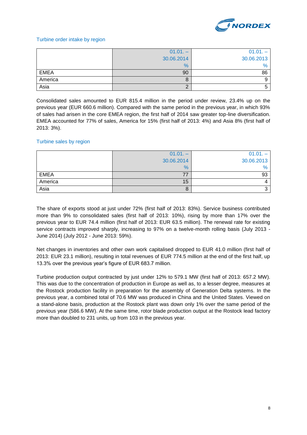

#### Turbine order intake by region

|             | $01.01. -$ | $01.01. -$ |
|-------------|------------|------------|
|             | 30.06.2014 | 30.06.2013 |
|             | $\%$       | $\%$       |
| <b>EMEA</b> | 90         | 86         |
| America     | 8          |            |
| Asia        | C          |            |

Consolidated sales amounted to EUR 815.4 million in the period under review, 23.4% up on the previous year (EUR 660.6 million). Compared with the same period in the previous year, in which 93% of sales had arisen in the core EMEA region, the first half of 2014 saw greater top-line diversification. EMEA accounted for 77% of sales, America for 15% (first half of 2013: 4%) and Asia 8% (first half of 2013: 3%).

#### Turbine sales by region

|             | $01.01. -$ | $01.01. -$    |
|-------------|------------|---------------|
|             | 30.06.2014 | 30.06.2013    |
|             | %          | $\frac{0}{6}$ |
| <b>EMEA</b> |            | 93            |
| America     | 15         |               |
| Asia        | O          |               |

The share of exports stood at just under 72% (first half of 2013: 83%). Service business contributed more than 9% to consolidated sales (first half of 2013: 10%), rising by more than 17% over the previous year to EUR 74.4 million (first half of 2013: EUR 63.5 million). The renewal rate for existing service contracts improved sharply, increasing to 97% on a twelve-month rolling basis (July 2013 - June 2014) (July 2012 - June 2013: 59%).

Net changes in inventories and other own work capitalised dropped to EUR 41.0 million (first half of 2013: EUR 23.1 million), resulting in total revenues of EUR 774.5 million at the end of the first half, up 13.3% over the previous year's figure of EUR 683.7 million.

Turbine production output contracted by just under 12% to 579.1 MW (first half of 2013: 657.2 MW). This was due to the concentration of production in Europe as well as, to a lesser degree, measures at the Rostock production facility in preparation for the assembly of Generation Delta systems. In the previous year, a combined total of 70.6 MW was produced in China and the United States. Viewed on a stand-alone basis, production at the Rostock plant was down only 1% over the same period of the previous year (586.6 MW). At the same time, rotor blade production output at the Rostock lead factory more than doubled to 231 units, up from 103 in the previous year.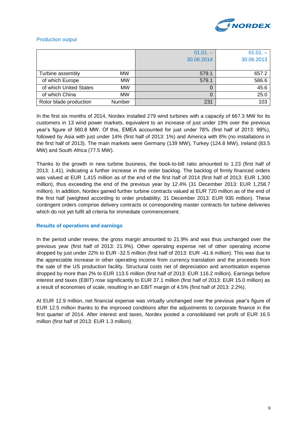

#### Production output

|                        |           | $01.01 -$  | $01.01 -$  |
|------------------------|-----------|------------|------------|
|                        |           | 30.06.2014 | 30.06.2013 |
|                        |           |            |            |
| Turbine assembly       | <b>MW</b> | 579.1      | 657.2      |
| of which Europe        | <b>MW</b> | 579.1      | 586.6      |
| of which United States | <b>MW</b> |            | 45.6       |
| of which China         | <b>MW</b> |            | 25.0       |
| Rotor blade production | Number    | 231        | 103        |

In the first six months of 2014, Nordex installed 279 wind turbines with a capacity of 667.3 MW for its customers in 13 wind power markets, equivalent to an increase of just under 19% over the previous year's figure of 560.8 MW. Of this, EMEA accounted for just under 78% (first half of 2013: 99%), followed by Asia with just under 14% (first half of 2013: 1%) and America with 8% (no installations in the first half of 2013). The main markets were Germany (139 MW), Turkey (124.8 MW), Ireland (83.5 MW) and South Africa (77.5 MW).

Thanks to the growth in new turbine business, the book-to-bill ratio amounted to 1.23 (first half of 2013: 1.41), indicating a further increase in the order backlog. The backlog of firmly financed orders was valued at EUR 1,415 million as of the end of the first half of 2014 (first half of 2013: EUR 1,300 million), thus exceeding the end of the previous year by 12.4% (31 December 2013: EUR 1,258.7 million). In addition, Nordex gained further turbine contracts valued at EUR 720 million as of the end of the first half (weighted according to order probability; 31 December 2013: EUR 935 million). These contingent orders comprise delivery contracts or corresponding master contracts for turbine deliveries which do not yet fulfil all criteria for immediate commencement.

#### **Results of operations and earnings**

In the period under review, the gross margin amounted to 21.9% and was thus unchanged over the previous year (first half of 2013: 21.9%). Other operating expense net of other operating income dropped by just under 22% to EUR -32.5 million (first half of 2013: EUR -41.6 million). This was due to the appreciable increase in other operating income from currency translation and the proceeds from the sale of the US production facility. Structural costs net of depreciation and amortisation expense dropped by more than 2% to EUR 113.5 million (first half of 2013: EUR 116.2 million). Earnings before interest and taxes (EBIT) rose significantly to EUR 37.1 million (first half of 2013: EUR 15.0 million) as a result of economies of scale, resulting in an EBIT margin of 4.5% (first half of 2013: 2.2%).

At EUR 12.9 million, net financial expense was virtually unchanged over the previous year's figure of EUR 12.5 million thanks to the improved conditions after the adjustments to corporate finance in the first quarter of 2014. After interest and taxes, Nordex posted a consolidated net profit of EUR 16.5 million (first half of 2013: EUR 1.3 million).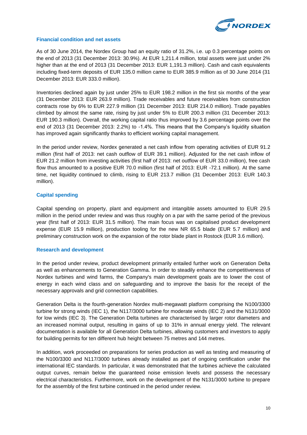

#### **Financial condition and net assets**

As of 30 June 2014, the Nordex Group had an equity ratio of 31.2%, i.e. up 0.3 percentage points on the end of 2013 (31 December 2013: 30.9%). At EUR 1,211.4 million, total assets were just under 2% higher than at the end of 2013 (31 December 2013: EUR 1,191.3 million). Cash and cash equivalents including fixed-term deposits of EUR 135.0 million came to EUR 385.9 million as of 30 June 2014 (31 December 2013: EUR 333.0 million).

Inventories declined again by just under 25% to EUR 198.2 million in the first six months of the year (31 December 2013: EUR 263.9 million). Trade receivables and future receivables from construction contracts rose by 6% to EUR 227.9 million (31 December 2013: EUR 214.0 million). Trade payables climbed by almost the same rate, rising by just under 5% to EUR 200.3 million (31 December 2013: EUR 190.3 million). Overall, the working capital ratio thus improved by 3.6 percentage points over the end of 2013 (31 December 2013: 2.2%) to -1.4%. This means that the Company's liquidity situation has improved again significantly thanks to efficient working capital management.

In the period under review, Nordex generated a net cash inflow from operating activities of EUR 91.2 million (first half of 2013: net cash outflow of EUR 39.1 million). Adjusted for the net cash inflow of EUR 21.2 million from investing activities (first half of 2013: net outflow of EUR 33.0 million), free cash flow thus amounted to a positive EUR 70.0 million (first half of 2013: EUR -72.1 million). At the same time, net liquidity continued to climb, rising to EUR 213.7 million (31 December 2013: EUR 140.3 million).

#### **Capital spending**

Capital spending on property, plant and equipment and intangible assets amounted to EUR 29.5 million in the period under review and was thus roughly on a par with the same period of the previous year (first half of 2013: EUR 31.5 million). The main focus was on capitalised product development expense (EUR 15.9 million), production tooling for the new NR 65.5 blade (EUR 5.7 million) and preliminary construction work on the expansion of the rotor blade plant in Rostock (EUR 3.6 million).

#### **Research and development**

In the period under review, product development primarily entailed further work on Generation Delta as well as enhancements to Generation Gamma. In order to steadily enhance the competitiveness of Nordex turbines and wind farms, the Company's main development goals are to lower the cost of energy in each wind class and on safeguarding and to improve the basis for the receipt of the necessary approvals and grid connection capabilities.

Generation Delta is the fourth-generation Nordex multi-megawatt platform comprising the N100/3300 turbine for strong winds (IEC 1), the N117/3000 turbine for moderate winds (IEC 2) and the N131/3000 for low winds (IEC 3). The Generation Delta turbines are characterised by larger rotor diameters and an increased nominal output, resulting in gains of up to 31% in annual energy yield. The relevant documentation is available for all Generation Delta turbines, allowing customers and investors to apply for building permits for ten different hub height between 75 metres and 144 metres.

In addition, work proceeded on preparations for series production as well as testing and measuring of the N100/3300 and N117/3000 turbines already installed as part of ongoing certification under the international IEC standards. In particular, it was demonstrated that the turbines achieve the calculated output curves, remain below the guaranteed noise emission levels and possess the necessary electrical characteristics. Furthermore, work on the development of the N131/3000 turbine to prepare for the assembly of the first turbine continued in the period under review.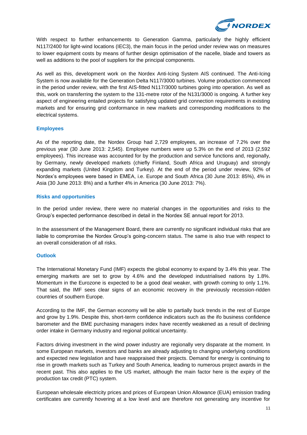

With respect to further enhancements to Generation Gamma, particularly the highly efficient N117/2400 for light-wind locations (IEC3), the main focus in the period under review was on measures to lower equipment costs by means of further design optimisation of the nacelle, blade and towers as well as additions to the pool of suppliers for the principal components.

As well as this, development work on the Nordex Anti-Icing System AIS continued. The Anti-Icing System is now available for the Generation Delta N117/3000 turbines. Volume production commenced in the period under review, with the first AIS-fitted N117/3000 turbines going into operation. As well as this, work on transferring the system to the 131-metre rotor of the N131/3000 is ongoing. A further key aspect of engineering entailed projects for satisfying updated grid connection requirements in existing markets and for ensuring grid conformance in new markets and corresponding modifications to the electrical systems.

#### **Employees**

As of the reporting date, the Nordex Group had 2,729 employees, an increase of 7.2% over the previous year (30 June 2013: 2,545). Employee numbers were up 5.3% on the end of 2013 (2,592 employees). This increase was accounted for by the production and service functions and, regionally, by Germany, newly developed markets (chiefly Finland, South Africa and Uruguay) and strongly expanding markets (United Kingdom and Turkey). At the end of the period under review, 92% of Nordex's employees were based in EMEA, i.e. Europe and South Africa (30 June 2013: 85%), 4% in Asia (30 June 2013: 8%) and a further 4% in America (30 June 2013: 7%).

#### **Risks and opportunities**

In the period under review, there were no material changes in the opportunities and risks to the Group's expected performance described in detail in the Nordex SE annual report for 2013.

In the assessment of the Management Board, there are currently no significant individual risks that are liable to compromise the Nordex Group's going-concern status. The same is also true with respect to an overall consideration of all risks.

#### **Outlook**

The International Monetary Fund (IMF) expects the global economy to expand by 3.4% this year. The emerging markets are set to grow by 4.6% and the developed industrialised nations by 1.8%. Momentum in the Eurozone is expected to be a good deal weaker, with growth coming to only 1.1%. That said, the IMF sees clear signs of an economic recovery in the previously recession-ridden countries of southern Europe.

According to the IMF, the German economy will be able to partially buck trends in the rest of Europe and grow by 1.9%. Despite this, short-term confidence indicators such as the ifo business confidence barometer and the BME purchasing managers index have recently weakened as a result of declining order intake in Germany industry and regional political uncertainty.

Factors driving investment in the wind power industry are regionally very disparate at the moment. In some European markets, investors and banks are already adjusting to changing underlying conditions and expected new legislation and have reappraised their projects. Demand for energy is continuing to rise in growth markets such as Turkey and South America, leading to numerous project awards in the recent past. This also applies to the US market, although the main factor here is the expiry of the production tax credit (PTC) system.

European wholesale electricity prices and prices of European Union Allowance (EUA) emission trading certificates are currently hovering at a low level and are therefore not generating any incentive for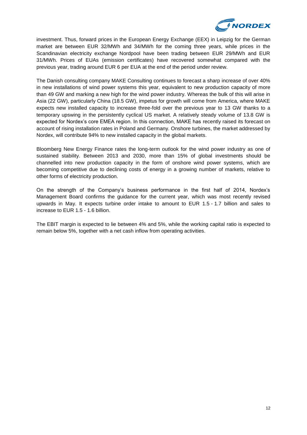

investment. Thus, forward prices in the European Energy Exchange (EEX) in Leipzig for the German market are between EUR 32/MWh and 34/MWh for the coming three years, while prices in the Scandinavian electricity exchange Nordpool have been trading between EUR 29/MWh and EUR 31/MWh. Prices of EUAs (emission certificates) have recovered somewhat compared with the previous year, trading around EUR 6 per EUA at the end of the period under review.

The Danish consulting company MAKE Consulting continues to forecast a sharp increase of over 40% in new installations of wind power systems this year, equivalent to new production capacity of more than 49 GW and marking a new high for the wind power industry. Whereas the bulk of this will arise in Asia (22 GW), particularly China (18.5 GW), impetus for growth will come from America, where MAKE expects new installed capacity to increase three-fold over the previous year to 13 GW thanks to a temporary upswing in the persistently cyclical US market. A relatively steady volume of 13.8 GW is expected for Nordex's core EMEA region. In this connection, MAKE has recently raised its forecast on account of rising installation rates in Poland and Germany. Onshore turbines, the market addressed by Nordex, will contribute 94% to new installed capacity in the global markets.

Bloomberg New Energy Finance rates the long-term outlook for the wind power industry as one of sustained stability. Between 2013 and 2030, more than 15% of global investments should be channelled into new production capacity in the form of onshore wind power systems, which are becoming competitive due to declining costs of energy in a growing number of markets, relative to other forms of electricity production.

On the strength of the Company's business performance in the first half of 2014, Nordex's Management Board confirms the guidance for the current year, which was most recently revised upwards in May. It expects turbine order intake to amount to EUR 1.5 - 1.7 billion and sales to increase to EUR 1.5 - 1.6 billion.

The EBIT margin is expected to lie between 4% and 5%, while the working capital ratio is expected to remain below 5%, together with a net cash inflow from operating activities.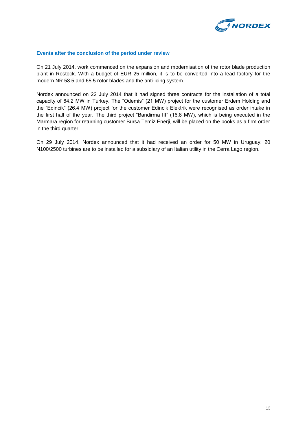

#### **Events after the conclusion of the period under review**

On 21 July 2014, work commenced on the expansion and modernisation of the rotor blade production plant in Rostock. With a budget of EUR 25 million, it is to be converted into a lead factory for the modern NR 58.5 and 65.5 rotor blades and the anti-icing system.

Nordex announced on 22 July 2014 that it had signed three contracts for the installation of a total capacity of 64.2 MW in Turkey. The "Odemis" (21 MW) project for the customer Erdem Holding and the "Edincik" (26.4 MW) project for the customer Edincik Elektrik were recognised as order intake in the first half of the year. The third project "Bandirma III" (16.8 MW), which is being executed in the Marmara region for returning customer Bursa Temiz Enerji, will be placed on the books as a firm order in the third quarter.

On 29 July 2014, Nordex announced that it had received an order for 50 MW in Uruguay. 20 N100/2500 turbines are to be installed for a subsidiary of an Italian utility in the Cerra Lago region.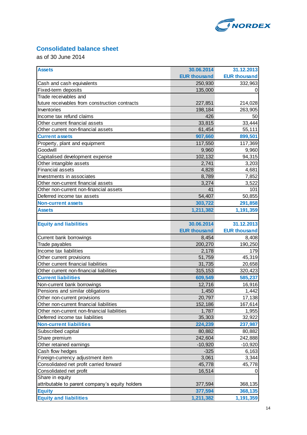

# **Consolidated balance sheet**

as of 30 June 2014

| <b>Assets</b>                                   | 30.06.2014          | 31.12.2013          |
|-------------------------------------------------|---------------------|---------------------|
|                                                 | <b>EUR thousand</b> | <b>EUR thousand</b> |
| Cash and cash equivalents                       | 250,930             | 332,963             |
| Fixed-term deposits                             | 135,000             | 0                   |
| Trade receivables and                           |                     |                     |
| future receivables from construction contracts  | 227,851             | 214,028             |
| Inventories                                     | 198,184             | 263,905             |
| Income tax refund claims                        | 426                 | 50                  |
| Other current financial assets                  | 33,815              | 33,444              |
| Other current non-financial assets              | 61,454              | 55,111              |
| <b>Current assets</b>                           | 907,660             | 899,501             |
| Property, plant and equipment                   | 117,550             | 117,369             |
| Goodwill                                        | 9,960               | 9,960               |
| Capitalised development expense                 | 102,132             | 94,315              |
| Other intangible assets                         | 2,741               | 3,203               |
| <b>Financial assets</b>                         | 4,828               | 4,681               |
| Investments in associates                       | 8,789               | 7,852               |
| Other non-current financial assets              | 3,274               | 3,522               |
| Other non-current non-financial assets          | 41                  | 101                 |
| Deferred income tax assets                      | 54,407              | 50,855              |
| <b>Non-current assets</b>                       | 303,722             | 291,858             |
| <b>Assets</b>                                   | 1,211,382           | 1,191,359           |
|                                                 |                     |                     |
| <b>Equity and liabilities</b>                   | 30.06.2014          | 31.12.2013          |
|                                                 | <b>EUR thousand</b> | <b>EUR thousand</b> |
| Current bank borrowings                         | 8,454               | 8,408               |
| Trade payables                                  | 200,270             | 190,250             |
| Income tax liabilities                          | 2,178               | 179                 |
| Other current provisions                        | 51,759              | 45,319              |
| Other current financial liabilities             | 31,735              | 20,658              |
| Other current non-financial liabilities         | 315,153             | 320,423             |
| <b>Current liabilities</b>                      | 609,549             | 585,237             |
| Non-current bank borrowings                     | 12,716              | 16,916              |
| Pensions and similar obligations                | 1,450               | 1,442               |
| Other non-current provisions                    | 20,797              | 17,138              |
| Other non-current financial liabilities         | 152,186             | 167,614             |
| Other non-current non-financial liabilities     | 1,787               | 1,955               |
| Deferred income tax liabilities                 | 35,303              | 32,922              |
| <b>Non-current liabilities</b>                  | 224,239             | 237,987             |
| Subscribed capital                              | 80,882              | 80,882              |
| Share premium                                   | 242,604             | 242,888             |
| Other retained earnings                         | $-10,920$           | $-10,920$           |
| Cash flow hedges                                | $-325$              | 6,163               |
| Foreign-currency adjustment item                | 3,061               | 3,344               |
| Consolidated net profit carried forward         | 45,778              | 45,778              |
| Consolidated net profit                         | 16,514              | 0                   |
| Share in equity                                 |                     |                     |
| attributable to parent company's equity holders | 377,594             | 368,135             |
| <b>Equity</b>                                   | 377,594             | 368,135             |
| <b>Equity and liabilities</b>                   | 1,211,382           | 1,191,359           |
|                                                 |                     |                     |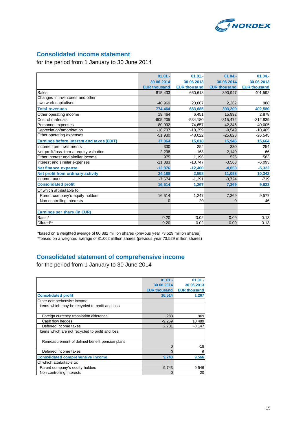

# **Consolidated income statement**

for the period from 1 January to 30 June 2014

|                                           | $01.01 -$           | $01.01 -$           | $01.04 -$           | $01.04 -$           |
|-------------------------------------------|---------------------|---------------------|---------------------|---------------------|
|                                           | 30.06.2014          | 30.06.2013          | 30.06.2014          | 30.06.2013          |
|                                           | <b>EUR thousand</b> | <b>EUR thousand</b> | <b>EUR thousand</b> | <b>EUR thousand</b> |
| Sales                                     | 815,433             | 660,618             | 390,947             | 401,592             |
| Changes in inventories and other          |                     |                     |                     |                     |
| own work capitalised                      | $-40.969$           | 23,067              | 2,262               | 988                 |
| <b>Total revenues</b>                     | 774.464             | 683,685             | 393,209             | 402,580             |
| Other operating income                    | 19.464              | 6.451               | 15.932              | 2,878               |
| Cost of materials                         | $-605,205$          | $-534,180$          | $-315,472$          | $-312,839$          |
| Personnel expenses                        | $-80,992$           | $-74,657$           | $-42,346$           | $-40,005$           |
| Depreciation/amortisation                 | $-18,737$           | $-18,259$           | $-9,549$            | $-10,405$           |
| Other operating expenses                  | $-51,930$           | $-48,022$           | $-25,828$           | $-26,545$           |
| Earnings before interest and taxes (EBIT) | 37,064              | 15,018              | 15,946              | 15,664              |
| Income from investments                   | 330                 | 254                 | 330                 | 254                 |
| Net profit/loss from at-equity valuation  | $-2,298$            | $-163$              | $-2,140$            | $-66$               |
| Other interest and similar income         | 975                 | 1.196               | 525                 | 583                 |
| Interest and similar expenses             | $-11,883$           | $-13,747$           | $-3,568$            | $-6,093$            |
| <b>Net finance expense</b>                | $-12.876$           | $-12,460$           | $-4.853$            | $-5,322$            |
| Net profit from ordinary activity         | 24,188              | 2,558               | 11,093              | 10,342              |
| Income taxes                              | $-7.674$            | $-1,291$            | $-3.724$            | $-719$              |
| <b>Consolidated profit</b>                | 16,514              | 1,267               | 7,369               | 9,623               |
| Of which attributable to:                 |                     |                     |                     |                     |
| Parent company's equity holders           | 16,514              | 1,247               | 7,369               | 9,577               |
| Non-controlling interests                 | $\mathbf{0}$        | 20                  | $\overline{0}$      | 46                  |
|                                           |                     |                     |                     |                     |
| Earnings per share (in EUR)               |                     |                     |                     |                     |
| Basic*                                    | 0.20                | 0.02                | 0.09                | 0.13                |
| Diluted**                                 | 0.20                | 0.02                | 0.09                | 0.13                |

\*based on a weighted average of 80.882 million shares (previous year 73.529 million shares) \*\*based on a weighted average of 81.062 million shares (previous year 73.529 million shares)

# **Consolidated statement of comprehensive income**

for the period from 1 January to 30 June 2014

|                                                 | $01.01 -$           | $01.01 -$           |
|-------------------------------------------------|---------------------|---------------------|
|                                                 | 30.06.2014          | 30.06.2013          |
|                                                 | <b>EUR thousand</b> | <b>EUR thousand</b> |
| <b>Consolidated profit</b>                      | 16,514              | 1,267               |
| Other comprehensive income                      |                     |                     |
| Items which may be recycled to profit and loss  |                     |                     |
|                                                 |                     |                     |
| Foreign currency translation difference         | $-283$              | 969                 |
| Cash flow hedges                                | $-9,269$            | 10,489              |
| Deferred income taxes                           | 2,781               | $-3,147$            |
| Items which are not recycled to profit and loss |                     |                     |
|                                                 |                     |                     |
| Remeasurement of defined benefit pension plans  |                     |                     |
|                                                 | 0                   | $-18$               |
| Deferred income taxes                           | $\Omega$            | 6                   |
| <b>Consolidated comprehensive income</b>        | 9,743               | 9,566               |
| Of which attributable to:                       |                     |                     |
| Parent company's equity holders                 | 9,743               | 9,546               |
| Non-controlling interests                       | 0                   | 20                  |
|                                                 |                     |                     |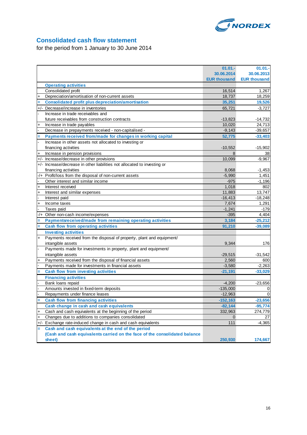

# **Consolidated cash flow statement**

for the period from 1 January to 30 June 2014

|           |                                                                            | $01.01 -$           | 01.01.              |
|-----------|----------------------------------------------------------------------------|---------------------|---------------------|
|           |                                                                            | 30.06.2014          | 30.06.2013          |
|           |                                                                            | <b>EUR thousand</b> | <b>EUR thousand</b> |
|           | <b>Operating activities</b>                                                |                     |                     |
|           | Consolidated profit                                                        | 16,514              | 1,267               |
| $\ddot{}$ | Depreciation/amortisation of non-current assets                            | 18,737              | 18,259              |
|           | <b>Consolidated profit plus depreciation/amortisation</b>                  | 35,251              | 19,526              |
|           | +/- Decrease/increase in inventories                                       | 65,721              | $-3,727$            |
|           | Increase in trade receivables and                                          |                     |                     |
|           | future receivables from construction contracts                             | $-13,823$           | $-14,732$           |
|           | Increase in trade payables                                                 | 10,020              | 24,713              |
|           | Decrease in prepayments received - non-capitalised -                       | $-9,143$            | $-39,657$           |
|           | Payments received from/made for changes in working capital                 | 52,775              | $-33,403$           |
|           | Increase in other assets not allocated to investing or                     |                     |                     |
|           | financing activities                                                       | $-10,552$           | $-15,902$           |
|           | Increase in pension provisions                                             | 8                   | 38                  |
|           | +/- Increase/decrease in other provisions                                  | 10,099              | $-9,967$            |
|           | +/- Increase/decrease in other liabilities not allocated to investing or   |                     |                     |
|           | financing activities                                                       | 8,068               | $-1,453$            |
| -/+       | Profit/loss from the disposal of non-current assets                        | $-5,990$            | 1,451               |
|           | Other interest and similar income                                          | $-975$              | $-1,196$            |
| $\ddot{}$ | Interest received                                                          | 1.018               | 802                 |
| $\ddot{}$ | Interest and similar expenses                                              | 11,883              | 13,747              |
|           | Interest paid                                                              | $-16,413$           | $-18,248$           |
| $\ddot{}$ | Income taxes                                                               | 7,674               | 1,291               |
|           | Taxes paid                                                                 | $-1,241$            | $-179$              |
| $-/+$     | Other non-cash income/expenses                                             | $-395$              | 4,404               |
|           | Paymentsreceived/made from remaining operating activities                  | 3,184               | $-25,212$           |
| Ξ         | <b>Cash flow from operating activities</b>                                 | 91,210              | $-39,089$           |
|           | <b>Investing activities</b>                                                |                     |                     |
| $\ddot{}$ | Payments received from the disposal of property, plant and equipment/      |                     |                     |
|           | intangible assets                                                          | 9,344               | 176                 |
|           | Payments made for investments in property, plant and equipment/            |                     |                     |
|           | intangible assets                                                          | $-29,515$           | $-31,542$           |
| $\ddot{}$ | Payments received from the disposal of financial assets                    | 2,560               | 600                 |
|           | Payments made for investments in financial assets                          | $-3,580$            | $-2,263$            |
|           | <b>Cash flow from investing activities</b>                                 | $-21,191$           | $-33,029$           |
|           | <b>Financing activities</b>                                                |                     |                     |
|           | Bank loans repaid                                                          | $-4,200$            | $-23,656$           |
|           | Amounts invested in fixed-term deposits                                    | $-135,000$          | 0                   |
|           | Repayments under finance leases                                            | $-12,963$           | $\mathbf 0$         |
| $\equiv$  | <b>Cash flow from financing activities</b>                                 | $-152,163$          | $-23,656$           |
|           | Cash change in cash and cash equivalents                                   | $-82,144$           | $-95,774$           |
| +         | Cash and cash equivalents at the beginning of the period                   | 332,963             | 274,779             |
| $\ddot{}$ | Changes due to additions to companies consolidated                         | 0                   | 27                  |
| $+/-$     | Exchange rate-induced change in cash and cash equivalents                  | 111                 | $-4,365$            |
| Ξ         | Cash and cash equivalents at the end of the period                         |                     |                     |
|           | (Cash and cash equivalents carried on the face of the consolidated balance |                     |                     |
|           | sheet)                                                                     | 250,930             | 174,667             |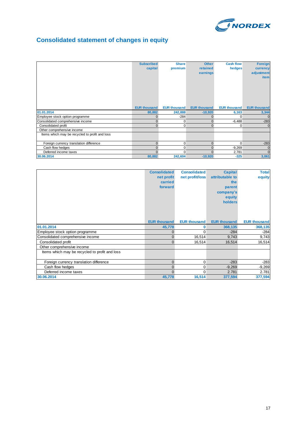

# **Consolidated statement of changes in equity**

|                                                | <b>Subscribed</b><br>capital | <b>Share</b><br>premium | <b>Other</b><br>retained<br>earnings | <b>Cash flow</b><br>hedges | <b>Foreign</b><br>currency<br>adjustment<br><i>item</i> |
|------------------------------------------------|------------------------------|-------------------------|--------------------------------------|----------------------------|---------------------------------------------------------|
|                                                | <b>EUR thousand</b>          | <b>EUR thousand</b>     | <b>EUR thousand</b>                  | <b>EUR thousand</b>        | <b>EUR thousand</b>                                     |
| 01.01.2014                                     | 80,882                       | 242,888                 | $-10,920$                            | 6,163                      | 3,344                                                   |
| Employee stock option programme                | $\mathbf{0}$                 | $-284$                  | $\mathbf{0}$                         | 0                          | $\Omega$                                                |
| Consolidated comprehensive income              | $\mathbf 0$                  | 0                       | $\mathbf{0}$                         | $-6,488$                   | $-283$                                                  |
| Consolidated profit                            | $\mathbf{0}$                 | 0                       | $\mathbf{0}$                         | $\mathbf{0}$               | $\mathbf{0}$                                            |
| Other comprehensive income                     |                              |                         |                                      |                            |                                                         |
| Items which may be recycled to profit and loss |                              |                         |                                      |                            |                                                         |
| Foreign currency translation difference        | $\mathbf 0$                  | 0                       | $\mathbf{0}$                         | $\Omega$                   | $-283$                                                  |
| Cash flow hedges                               | $\mathbf 0$                  | 0                       | $\mathbf{0}$                         | $-9,269$                   | $\mathbf 0$                                             |
| Deferred income taxes                          | $\Omega$                     | 0                       | $\Omega$                             | 2,781                      | $\Omega$                                                |
| 30.06.2014                                     | 80,882                       | 242,604                 | $-10,920$                            | $-325$                     | 3,061                                                   |

|                                                | <b>Consolidated</b><br>net profit<br>carried<br>forward | <b>Consolidated</b><br>net profit/loss | <b>Capital</b><br>attributable to<br>the<br>parent<br>company's<br>equity<br>holders | <b>Total</b><br>equity |
|------------------------------------------------|---------------------------------------------------------|----------------------------------------|--------------------------------------------------------------------------------------|------------------------|
|                                                | <b>EUR thousand</b>                                     | <b>EUR thousand</b>                    | <b>EUR thousand</b>                                                                  | <b>EUR thousand</b>    |
| 01.01.2014                                     | 45,778                                                  | o                                      | 368,135                                                                              | 368,135                |
| Employee stock option programme                | 0                                                       | 0                                      | $-284$                                                                               | $-284$                 |
| Consolidated comprehensive income              | $\Omega$                                                | 16,514                                 | 9,743                                                                                | 9,743                  |
| Consolidated profit                            | $\Omega$                                                | 16,514                                 | 16,514                                                                               | 16,514                 |
| Other comprehensive income                     |                                                         |                                        |                                                                                      |                        |
| Items which may be recycled to profit and loss |                                                         |                                        |                                                                                      |                        |
| Foreign currency translation difference        | $\mathbf{0}$                                            | 0                                      | $-283$                                                                               | $-283$                 |
| Cash flow hedges                               | 0                                                       | 0                                      | $-9,269$                                                                             | $-9,269$               |
| Deferred income taxes                          | $\Omega$                                                | 0                                      | 2.781                                                                                | 2.781                  |
| 30.06.2014                                     | 45,778                                                  | 16,514                                 | 377,594                                                                              | 377,594                |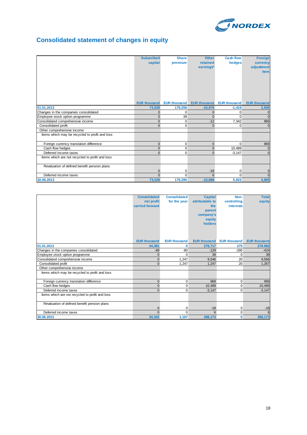

# **Consolidated statement of changes in equity**

|                                                 | <b>Subscribed</b><br>capital | <b>Share</b><br>premium | <b>Other</b><br>retained<br>earnings* | <b>Cash flow</b><br>hedges | <b>Foreign</b><br>currency<br>adjustment<br><b>item</b> |
|-------------------------------------------------|------------------------------|-------------------------|---------------------------------------|----------------------------|---------------------------------------------------------|
|                                                 | <b>EUR thousand</b>          | <b>EUR thousand</b>     | <b>EUR thousand</b>                   | <b>EUR thousand</b>        | <b>EUR thousand</b>                                     |
| 01.01.2013                                      | 73,529                       | 179,256                 | $-10,876$                             | $-1,419$                   | 3,836                                                   |
| Changes in the companies consolidated           | $\mathbf{0}$                 | $\mathbf 0$             | $\mathbf{0}$                          | 0                          | $\mathbf{0}$                                            |
| Employee stock option programme                 | $\mathbf{0}$                 | 39                      | $\Omega$                              | $\Omega$                   | $\mathbf{0}$                                            |
| Consolidated comprehensive income               | $\mathbf{0}$                 | $\mathbf 0$             | $-12$                                 | 7,342                      | 969                                                     |
| Consolidated profit                             | $\Omega$                     | 0                       | $\mathbf{0}$                          | 0                          | $\Omega$                                                |
| Other comprehensive income                      |                              |                         |                                       |                            |                                                         |
| Items which may be recycled to profit and loss  |                              |                         |                                       |                            |                                                         |
| Foreign currency translation difference         | $\mathbf{0}$                 | $\mathbf 0$             | $\mathbf{0}$                          | $\Omega$                   | 969                                                     |
| Cash flow hedges                                | $\Omega$                     | 0                       | $\overline{0}$                        | 10.489                     | $\mathbf{0}$                                            |
| Deferred income taxes                           | $\Omega$                     | 0                       | $\mathbf{0}$                          | $-3,147$                   | $\mathbf{0}$                                            |
| Items which are not recycled to profit and loss |                              |                         |                                       |                            |                                                         |
| Revaluation of defined benefit pension plans    |                              | $\Omega$                | $-18$                                 | 0                          | $\mathbf 0$                                             |
| Deferred income taxes                           | $\Omega$                     | $\Omega$                | 6                                     | $\Omega$                   | $\Omega$                                                |
| 30.06.2013                                      | 73,529                       | 179,295                 | $-10,888$                             | 5,923                      | 4,805                                                   |

|                                                 | <b>Consolidated</b> | <b>Consolidated</b> | <b>Capital</b>      | Non-                | <b>Total</b>        |
|-------------------------------------------------|---------------------|---------------------|---------------------|---------------------|---------------------|
|                                                 | net profit          | for the year        | attributable to     | controlling         | equity              |
|                                                 | carried forward     |                     | the                 | <b>interests</b>    |                     |
|                                                 |                     |                     | parent              |                     |                     |
|                                                 |                     |                     | company's           |                     |                     |
|                                                 |                     |                     | equity              |                     |                     |
|                                                 |                     |                     | holders             |                     |                     |
|                                                 |                     |                     |                     |                     |                     |
|                                                 |                     |                     |                     |                     |                     |
|                                                 |                     |                     |                     |                     |                     |
|                                                 | <b>EUR thousand</b> | <b>EUR thousand</b> | <b>EUR thousand</b> | <b>EUR thousand</b> | <b>EUR thousand</b> |
| 01.01.2013                                      | 34,391              | 0                   | 278,717             | 275                 | 278.992             |
| Changes in the companies consolidated           | $-49$               | $-80$               | $-129$              | $-295$              | $-424$              |
| Employee stock option programme                 | $\Omega$            | $\Omega$            | 39                  | 0                   | 39                  |
| Consolidated comprehensive income               | $\Omega$            | 1,247               | 9,546               | 20                  | 9,566               |
| Consolidated profit                             | $\Omega$            | 1,247               | 1,247               | 20                  | 1,267               |
| Other comprehensive income                      |                     |                     |                     |                     |                     |
| Items which may be recycled to profit and loss  |                     |                     |                     |                     |                     |
|                                                 |                     |                     |                     |                     |                     |
| Foreign currency translation difference         | $\Omega$            | $\mathbf 0$         | 969                 | $\mathbf 0$         | 969                 |
| Cash flow hedges                                | 0                   | 0                   | 10.489              | 0                   | 10,489              |
| Deferred income taxes                           | $\Omega$            | $\overline{0}$      | $-3,147$            | 0                   | $-3,147$            |
| Items which are not recycled to profit and loss |                     |                     |                     |                     |                     |
|                                                 |                     |                     |                     |                     |                     |
| Revaluation of defined benefit pension plans    |                     |                     |                     |                     |                     |
|                                                 | $\overline{0}$      | 0                   | $-18$               | 0                   | $-18$               |
| Deferred income taxes                           | $\Omega$            | $\Omega$            | 6                   | 0                   | 6                   |
| 30.06.2013                                      | 34,342              | 1,167               | 288,173             | $\mathbf{0}$        | 288,173             |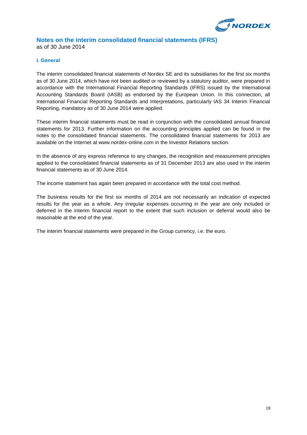

# **Notes on the interim consolidated financial statements (IFRS)**

as of 30 June 2014

#### **I. General**

The interim consolidated financial statements of Nordex SE and its subsidiaries for the first six months as of 30 June 2014, which have not been audited or reviewed by a statutory auditor, were prepared in accordance with the International Financial Reporting Standards (IFRS) issued by the International Accounting Standards Board (IASB) as endorsed by the European Union. In this connection, all International Financial Reporting Standards and Interpretations, particularly IAS 34 Interim Financial Reporting, mandatory as of 30 June 2014 were applied.

These interim financial statements must be read in conjunction with the consolidated annual financial statements for 2013. Further information on the accounting principles applied can be found in the notes to the consolidated financial statements. The consolidated financial statements for 2013 are available on the Internet at www.nordex-online.com in the Investor Relations section.

In the absence of any express reference to any changes, the recognition and measurement principles applied to the consolidated financial statements as of 31 December 2013 are also used in the interim financial statements as of 30 June 2014.

The income statement has again been prepared in accordance with the total cost method.

The business results for the first six months of 2014 are not necessarily an indication of expected results for the year as a whole. Any irregular expenses occurring in the year are only included or deferred in the interim financial report to the extent that such inclusion or deferral would also be reasonable at the end of the year.

The interim financial statements were prepared in the Group currency, i.e. the euro.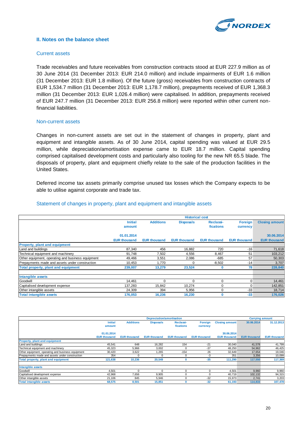

#### **II. Notes on the balance sheet**

#### Current assets

Trade receivables and future receivables from construction contracts stood at EUR 227.9 million as of 30 June 2014 (31 December 2013: EUR 214.0 million) and include impairments of EUR 1.6 million (31 December 2013: EUR 1.8 million). Of the future (gross) receivables from construction contracts of EUR 1,534.7 million (31 December 2013: EUR 1,178.7 million), prepayments received of EUR 1,368.3 million (31 December 2013: EUR 1,026.4 million) were capitalised. In addition, prepayments received of EUR 247.7 million (31 December 2013: EUR 256.8 million) were reported within other current nonfinancial liabilities.

#### Non-current assets

Changes in non-current assets are set out in the statement of changes in property, plant and equipment and intangible assets. As of 30 June 2014, capital spending was valued at EUR 29.5 million, while depreciation/amortisation expense came to EUR 18.7 million. Capital spending comprised capitalised development costs and particularly also tooling for the new NR 65.5 blade. The disposals of property, plant and equipment chiefly relate to the sale of the production facilities in the United States.

Deferred income tax assets primarily comprise unused tax losses which the Company expects to be able to utilise against corporate and trade tax.

#### Statement of changes in property, plant and equipment and intangible assets

|                                                   | <b>Historical cost</b> |                     |                     |                     |                     |                       |  |  |
|---------------------------------------------------|------------------------|---------------------|---------------------|---------------------|---------------------|-----------------------|--|--|
|                                                   | <b>Initial</b>         | <b>Additions</b>    | <b>Disposals</b>    | Reclassi-           | <b>Foreign</b>      | <b>Closing amount</b> |  |  |
|                                                   | amount                 |                     |                     | fications           | currency            |                       |  |  |
|                                                   | 01.01.2014             |                     |                     |                     |                     | 30.06.2014            |  |  |
|                                                   | <b>EUR thousand</b>    | <b>EUR thousand</b> | <b>EUR thousand</b> | <b>EUR thousand</b> | <b>EUR thousand</b> | <b>EUR thousand</b>   |  |  |
| <b>Property, plant and equipment</b>              |                        |                     |                     |                     |                     |                       |  |  |
| Land and buildings                                | 87.340                 | 456                 | 16.882              | 720                 | $-16$               | 71,618                |  |  |
| Technical equipment and machinery                 | 91,748                 | 7,502               | 4,556               | 8,467               | 51                  | 103,212               |  |  |
| Other equipment, operating and business equipment | 49,466                 | 3.551               | 2,086               | $-685$              | 57                  | 50,303                |  |  |
| Prepayments made and assets under construction    | 10.453                 | 1.770               | ∩                   | $-8,502$            | $-14$               | 3,707                 |  |  |
| Total property, plant and equipment               | 239,007                | 13,279              | 23,524              | 0                   | 78                  | 228,840               |  |  |
| Intangible assets                                 |                        |                     |                     |                     |                     |                       |  |  |
| Goodwill                                          | 14.461                 | 0                   | ∩                   | $\Omega$            | $\Omega$            | 14,461                |  |  |
| Capitalised development expense                   | 137,283                | 15,842              | 10,274              | $\Omega$            | 0                   | 142,851               |  |  |
| Other intangible assets                           | 24,309                 | 394                 | 5,956               | $\Omega$            | $-33$               | 18,714                |  |  |
| <b>Total intangible assets</b>                    | 176,053                | 16,236              | 16,230              | O                   | $-33$               | 176,026               |  |  |

|                                                   |                     | <b>Depreciation/amortisation</b> |                     |                     |                     |                       | <b>Carrying amount</b> |                     |
|---------------------------------------------------|---------------------|----------------------------------|---------------------|---------------------|---------------------|-----------------------|------------------------|---------------------|
|                                                   | <b>Initial</b>      | <b>Additions</b>                 | <b>Disposals</b>    | Reclassi-           | <b>Foreign</b>      | <b>Closing amount</b> | 30.06.2014             | 31.12.2013          |
|                                                   | amount              |                                  |                     | fications           | currency            |                       |                        |                     |
|                                                   | 01.01.2014          |                                  |                     |                     |                     | 30.06.2014            |                        |                     |
|                                                   | <b>EUR thousand</b> | <b>EUR thousand</b>              | <b>EUR thousand</b> | <b>EUR thousand</b> | <b>EUR thousand</b> | <b>EUR thousand</b>   | <b>EUR thousand</b>    | <b>EUR thousand</b> |
| <b>Property, plant and equipment</b>              |                     |                                  |                     |                     |                     |                       |                        |                     |
| Land and buildings                                | 45.541              | 648                              | 16.282              | 154                 | $-21$               | 30,040                | 41,578                 | 41,799              |
| Technical equipment and machinery                 | 45,323              | 5,966                            | 3,002               |                     | $-37$               | 48,250                | 54,962                 | 46,425              |
| Other equipment, operating and business equipment | 30,420              | 3,622                            | 1,265               | $-154$              | 26                  | 32,649                | 17,654                 | 19,046              |
| Prepayments made and assets under construction    | 354                 |                                  | $\Omega$            |                     | $-3$                | 351                   | 3,356                  | 10,099              |
| Total property, plant and equipment               | 121,638             | 10,236                           | 20,549              |                     | $-35$               | 111,290               | 117,550                | 117,369             |
| Intangible assets                                 |                     |                                  |                     |                     |                     |                       |                        |                     |
| Goodwill                                          | 4,501               | $\Omega$                         | $\Omega$            |                     | $\Omega$            | 4,501                 | 9,960                  | 9,960               |
| Capitalised development expense                   | 42,968              | 7.656                            | 9,905               |                     |                     | 40.719                | 102,132                | 94,315              |
| Other intangible assets                           | 21.106              | 845                              | 5,946               |                     | $-32$               | 15,973                | 2,741                  | 3,203               |
| <b>Total intangible assets</b>                    | 68,575              | 8,501                            | 15,851              |                     | $-32$               | 61,193                | 114,833                | 107,478             |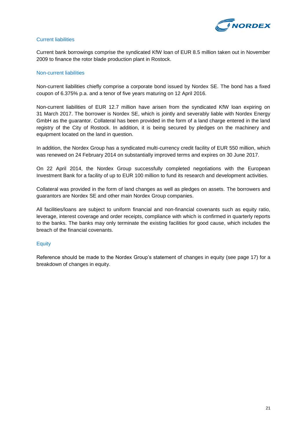

#### Current liabilities

Current bank borrowings comprise the syndicated KfW loan of EUR 8.5 million taken out in November 2009 to finance the rotor blade production plant in Rostock.

#### Non-current liabilities

Non-current liabilities chiefly comprise a corporate bond issued by Nordex SE. The bond has a fixed coupon of 6.375% p.a. and a tenor of five years maturing on 12 April 2016.

Non-current liabilities of EUR 12.7 million have arisen from the syndicated KfW loan expiring on 31 March 2017. The borrower is Nordex SE, which is jointly and severably liable with Nordex Energy GmbH as the guarantor. Collateral has been provided in the form of a land charge entered in the land registry of the City of Rostock. In addition, it is being secured by pledges on the machinery and equipment located on the land in question.

In addition, the Nordex Group has a syndicated multi-currency credit facility of EUR 550 million, which was renewed on 24 February 2014 on substantially improved terms and expires on 30 June 2017.

On 22 April 2014, the Nordex Group successfully completed negotiations with the European Investment Bank for a facility of up to EUR 100 million to fund its research and development activities.

Collateral was provided in the form of land changes as well as pledges on assets. The borrowers and guarantors are Nordex SE and other main Nordex Group companies.

All facilities/loans are subject to uniform financial and non-financial covenants such as equity ratio, leverage, interest coverage and order receipts, compliance with which is confirmed in quarterly reports to the banks. The banks may only terminate the existing facilities for good cause, which includes the breach of the financial covenants.

#### **Equity**

Reference should be made to the Nordex Group's statement of changes in equity (see page 17) for a breakdown of changes in equity.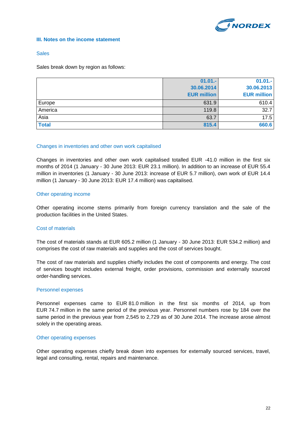

#### **III. Notes on the income statement**

#### **Sales**

Sales break down by region as follows:

|              | $01.01 -$          | $01.01 -$          |
|--------------|--------------------|--------------------|
|              | 30.06.2014         | 30.06.2013         |
|              | <b>EUR million</b> | <b>EUR million</b> |
| Europe       | 631.9              | 610.4              |
| America      | 119.8              | 32.7               |
| Asia         | 63.7               | 17.5               |
| <b>Total</b> | 815.4              | 660.6              |

#### Changes in inventories and other own work capitalised

Changes in inventories and other own work capitalised totalled EUR -41.0 million in the first six months of 2014 (1 January - 30 June 2013: EUR 23.1 million). In addition to an increase of EUR 55.4 million in inventories (1 January - 30 June 2013: increase of EUR 5.7 million), own work of EUR 14.4 million (1 January - 30 June 2013: EUR 17.4 million) was capitalised.

#### Other operating income

Other operating income stems primarily from foreign currency translation and the sale of the production facilities in the United States.

#### Cost of materials

The cost of materials stands at EUR 605.2 million (1 January - 30 June 2013: EUR 534.2 million) and comprises the cost of raw materials and supplies and the cost of services bought.

The cost of raw materials and supplies chiefly includes the cost of components and energy. The cost of services bought includes external freight, order provisions, commission and externally sourced order-handling services.

#### Personnel expenses

Personnel expenses came to EUR 81.0 million in the first six months of 2014, up from EUR 74.7 million in the same period of the previous year. Personnel numbers rose by 184 over the same period in the previous year from 2,545 to 2,729 as of 30 June 2014. The increase arose almost solely in the operating areas.

#### Other operating expenses

Other operating expenses chiefly break down into expenses for externally sourced services, travel, legal and consulting, rental, repairs and maintenance.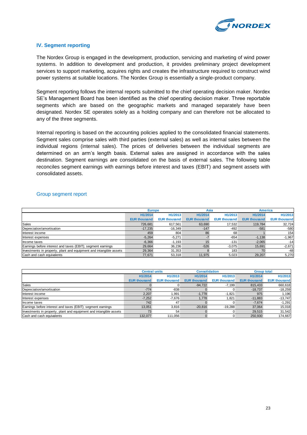

#### **IV. Segment reporting**

The Nordex Group is engaged in the development, production, servicing and marketing of wind power systems. In addition to development and production, it provides preliminary project development services to support marketing, acquires rights and creates the infrastructure required to construct wind power systems at suitable locations. The Nordex Group is essentially a single-product company.

Segment reporting follows the internal reports submitted to the chief operating decision maker. Nordex SE's Management Board has been identified as the chief operating decision maker. Three reportable segments which are based on the geographic markets and managed separately have been designated. Nordex SE operates solely as a holding company and can therefore not be allocated to any of the three segments.

Internal reporting is based on the accounting policies applied to the consolidated financial statements. Segment sales comprise sales with third parties (external sales) as well as internal sales between the individual regions (internal sales). The prices of deliveries between the individual segments are determined on an arm's length basis. External sales are assigned in accordance with the sales destination. Segment earnings are consolidated on the basis of external sales. The following table reconciles segment earnings with earnings before interest and taxes (EBIT) and segment assets with consolidated assets.

#### Group segment report

|                                                                    |                     | <b>Europe</b>       |                     | Asia                |                     | <b>America</b>      |
|--------------------------------------------------------------------|---------------------|---------------------|---------------------|---------------------|---------------------|---------------------|
|                                                                    | H1/2014             | H1/2013             | H1/2014             | H1/2013             | H1/2014             | H1/2013             |
|                                                                    | <b>EUR thousand</b> | <b>EUR thousand</b> | <b>EUR thousand</b> | <b>EUR thousand</b> | <b>EUR thousand</b> | <b>EUR thousand</b> |
| <b>Sales</b>                                                       | 726.681             | 617.561             | 63.690              | 17.532              | 119,784             | 32,724              |
| Depreciation/amortisation                                          | $-17,235$           | $-16,349$           | $-147$              | $-492$              | $-581$              | $-580$              |
| Interest income                                                    | 459                 | 804                 | 86                  | 68                  |                     | 154                 |
| Interest expenses                                                  | $-5.264$            | $-5,271$            |                     | $-654$              | $-1.138$            | $-1,967$            |
| Income taxes                                                       | $-6,366$            | $-1.193$            | 15                  | $-131$              | $-2,065$            | $-14$               |
| Earnings before interest and taxes (EBIT); segment earnings        | 29.664              | 36.236              | $-526$              | $-3.075$            | 15,691              | $-2,671$            |
| Investments in property, plant and equipment and intangible assets | 29.364              | 31.353              |                     | 183                 | 70                  | $-48$               |
| Cash and cash equivalents                                          | 77,671              | 53,318              | 11.975              | 5,023               | 29,207              | 5,270               |

|                                                                    | <b>Central units</b> |                     | <b>Consolidation</b> |                     | <b>Group total</b>  |                     |
|--------------------------------------------------------------------|----------------------|---------------------|----------------------|---------------------|---------------------|---------------------|
|                                                                    | H1/2014              | H1/2013             | H1/2014              | H1/2013             | H1/2014             | H1/2013             |
|                                                                    | <b>EUR thousand</b>  | <b>EUR thousand</b> | <b>EUR thousand</b>  | <b>EUR thousand</b> | <b>EUR thousand</b> | <b>EUR thousand</b> |
| Sales                                                              |                      |                     | $-94,722$            | $-7.199$            | 815,433             | 660,618             |
| Depreciation/amortisation                                          | $-774$               | $-838$              |                      |                     | $-18.737$           | $-18,259$           |
| Interest income                                                    | 2.207                | 1.991               | $-1.778$             | $-1.821$            | 975                 | .196                |
| Interest expenses                                                  | $-7.252$             | $-7.676$            | 1.778                | .821                | $-11.883$           | $-13,747$           |
| Income taxes                                                       | 742                  | 47                  |                      |                     | $-7.674$            | $-1,291$            |
| Earnings before interest and taxes (EBIT); segment earnings        | 13.051               | 3.816               | $-20.816$            | $-19.288$           | 37.064              | 15,018              |
| Investments in property, plant and equipment and intangible assets | 73                   | 54                  |                      |                     | 29.515              | 31,542              |
| Cash and cash equivalents                                          | 132.077              | 111.056             |                      |                     | 250,930             | 174,667             |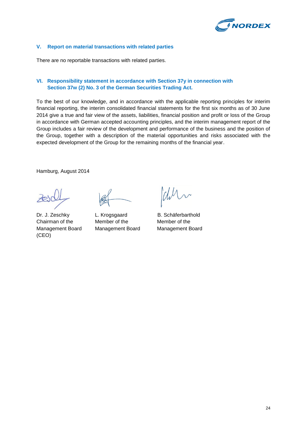

#### **V. Report on material transactions with related parties**

There are no reportable transactions with related parties.

#### **VI. Responsibility statement in accordance with Section 37y in connection with Section 37w (2) No. 3 of the German Securities Trading Act.**

To the best of our knowledge, and in accordance with the applicable reporting principles for interim financial reporting, the interim consolidated financial statements for the first six months as of 30 June 2014 give a true and fair view of the assets, liabilities, financial position and profit or loss of the Group in accordance with German accepted accounting principles, and the interim management report of the Group includes a fair review of the development and performance of the business and the position of the Group, together with a description of the material opportunities and risks associated with the expected development of the Group for the remaining months of the financial year.

Hamburg, August 2014

Dr. J. Zeschky L. Krogsgaard B. Schäferbarthold Chairman of the Member of the Member of the (CEO)

Management Board Management Board Management Board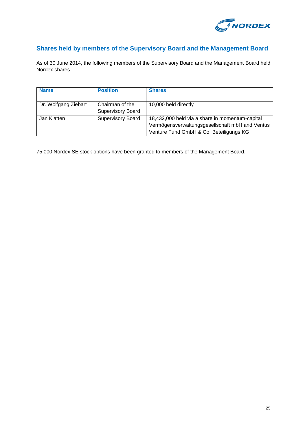

# **Shares held by members of the Supervisory Board and the Management Board**

As of 30 June 2014, the following members of the Supervisory Board and the Management Board held Nordex shares.

| <b>Name</b>          | <b>Position</b>          | <b>Shares</b>                                   |
|----------------------|--------------------------|-------------------------------------------------|
|                      |                          |                                                 |
| Dr. Wolfgang Ziebart | Chairman of the          | 10,000 held directly                            |
|                      | <b>Supervisory Board</b> |                                                 |
| Jan Klatten          | <b>Supervisory Board</b> | 18,432,000 held via a share in momentum-capital |
|                      |                          | Vermögensverwaltungsgesellschaft mbH and Ventus |
|                      |                          | Venture Fund GmbH & Co. Beteiligungs KG         |

75,000 Nordex SE stock options have been granted to members of the Management Board.